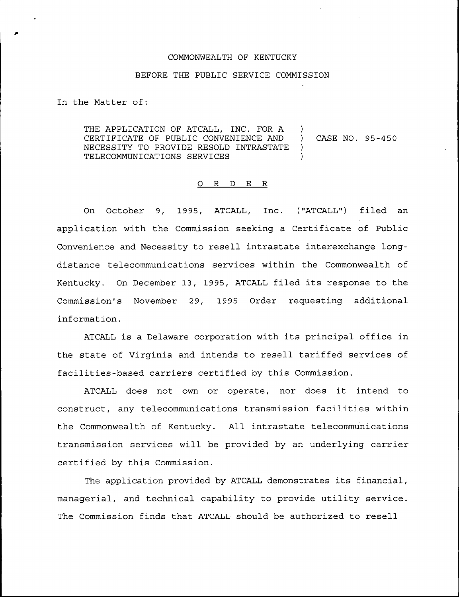## COMMONWEALTH OF KENTUCKY

## BEFORE THE PUBLIC SERVICE COMMISSION

In the Matter of:

THE APPLICATION OF ATCALL, INC. FOR A )<br>CERTIFICATE OF PUBLIC CONVENIENCE AND ) CERTIFICATE OF PUBLIC CONVENIENCE AND ) CASE NO. 95-450 NECESSITY TO PROVIDE RESOLD INTRASTATE ) TELECOMMUNICATIONS SERVICES  $)$ 

## 0 R <sup>D</sup> E R

On October 9, 1995, ATCALL, Inc. ("ATCALL") filed an application with the Commission seeking a Certificate of Public Convenience and Necessity to resell intrastate interexchange longdistance telecommunications services within the Commonwealth of Kentucky. On December 13, 1995, ATCALL filed its response to the Commission's November 29, 1995 Order requesting additional information.

ATCALL is <sup>a</sup> Delaware corporation with its principal office in the state of Virginia and intends to resell tariffed services of facilities-based carriers certified by this Commission.

ATCALL does not own or operate, nor does it intend to construct, any telecommunications transmission facilities within the Commonwealth of Kentucky. All intrastate telecommunications transmission services will be provided by an underlying carrier certified by this Commission.

The application provided by ATCALL demonstrates its financial, managerial, and technical capability to provide utility service. The Commission finds that ATCALL should be authorized to resell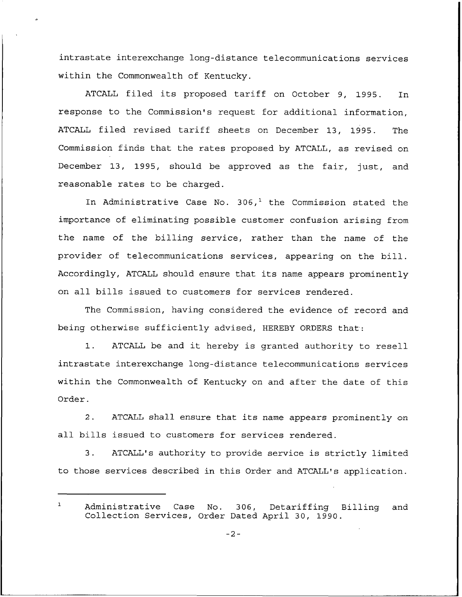intrastate interexchange long-distance telecommunications services within the Commonwealth of Kentucky.

ATCALL filed its proposed tariff on October 9, 1995. In response to the Commission's request for additional information, ATCALL filed revised tariff sheets on December 13, 1995. The Commission finds that the rates proposed by ATCALL, as revised on December 13, 1995, should be approved as the fair, just, and reasonable rates to be charged.

In Administrative Case No. 306,<sup>1</sup> the Commission stated the importance of eliminating possible customer confusion arising from the name of the billing service, rather than the name of the provider of telecommunications services, appearing on the bill. Accordingly, ATCALL should ensure that its name appears prominently on all bills issued to customers for services rendered.

The Commission, having considered the evidence of record and being otherwise sufficiently advised, HEREBY ORDERS that'.

l. ATCALL be and it hereby is granted authority to resell intrastate interexchange long-distance telecommunications services within the Commonwealth of Kentucky on and after the date of this Order.

2. ATCALL shall ensure that its name appears prominently on all bills issued to customers for services rendered.

3. ATCALL's authority to provide service is strictly limited to those services described. in this Order and ATCALL's application.

 $\mathbf{1}$ Administrative Case No. 306, Detariffing Billing and Collection Services, Order Dated April 30, 1990.